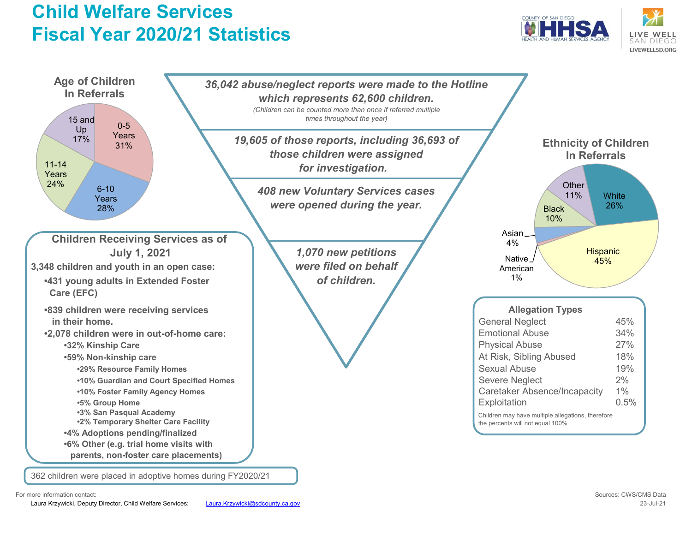# **Child Welfare Services Fiscal Year 2020/21 Statistics**